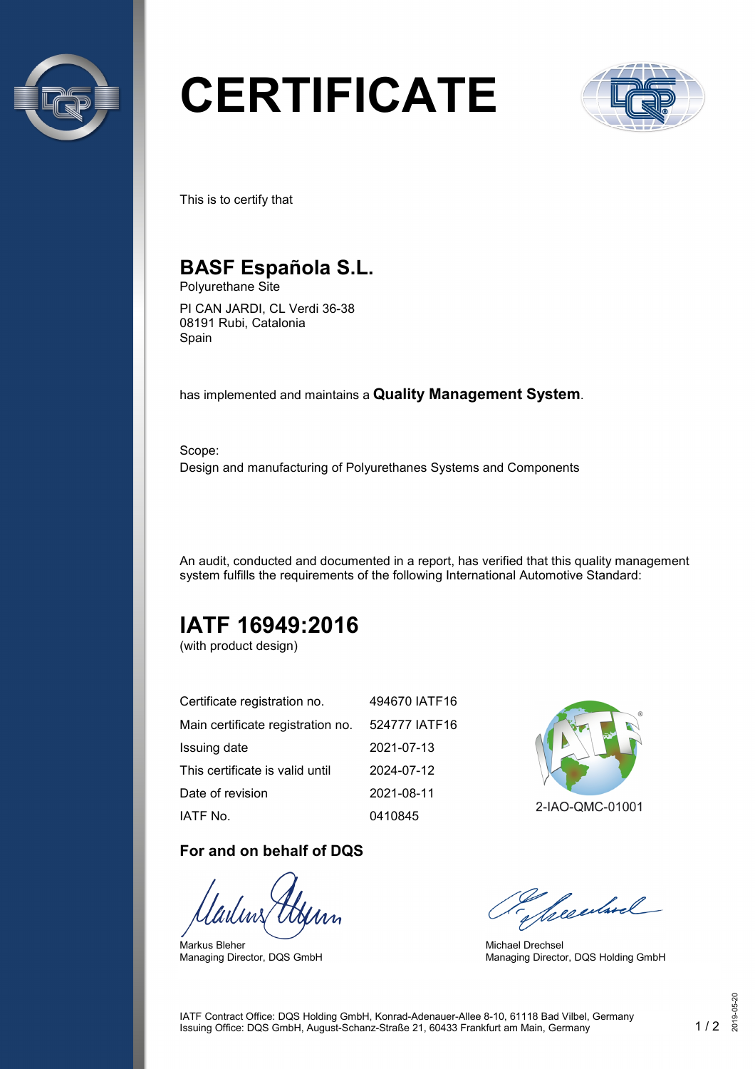

# **CERTIFICATE**



This is to certify that

## **BASF Española S.L.**

Polyurethane Site

PI CAN JARDI, CL Verdi 36-38 08191 Rubi, Catalonia Spain

has implemented and maintains a **Quality Management System**.

Scope: Design and manufacturing of Polyurethanes Systems and Components

An audit, conducted and documented in a report, has verified that this quality management system fulfills the requirements of the following International Automotive Standard:

## **IATF 16949:2016**

(with product design)

| Certificate registration no.      | 494670 IATF16 |
|-----------------------------------|---------------|
| Main certificate registration no. | 524777 IATF16 |
| Issuing date                      | 2021-07-13    |
| This certificate is valid until   | 2024-07-12    |
| Date of revision                  | 2021-08-11    |
| IATF No.                          | 0410845       |

#### **For and on behalf of DQS**

Markus Bleher Managing Director, DQS GmbH



2-IAO-QMC-01001

Seculard

Michael Drechsel Managing Director, DQS Holding GmbH

IATF Contract Office: DQS Holding GmbH, Konrad-Adenauer-Allee 8-10, 61118 Bad Vilbel, Germany Issuing Office: DQS GmbH, August-Schanz-Straße 21, 60433 Frankfurt am Main, Germany 1 / 2